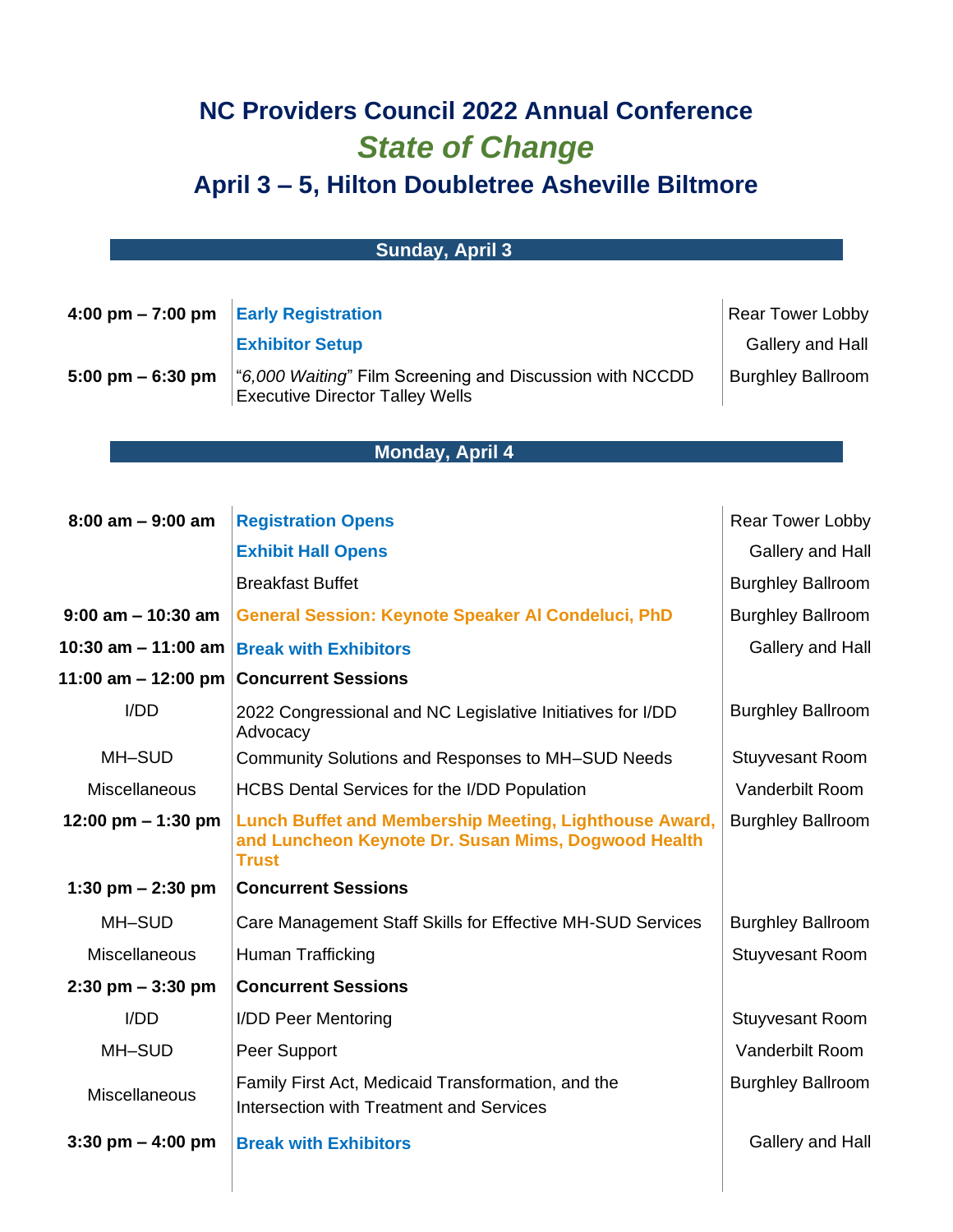## **NC Providers Council 2022 Annual Conference** *State of Change*

## **April 3 – 5, Hilton Doubletree Asheville Biltmore**

| <b>Sunday, April 3</b>              |                                                                                                                               |                          |  |  |
|-------------------------------------|-------------------------------------------------------------------------------------------------------------------------------|--------------------------|--|--|
|                                     |                                                                                                                               |                          |  |  |
| 4:00 pm $- 7:00$ pm                 | <b>Early Registration</b>                                                                                                     | Rear Tower Lobby         |  |  |
|                                     | <b>Exhibitor Setup</b>                                                                                                        | Gallery and Hall         |  |  |
| $5:00 \text{ pm} - 6:30 \text{ pm}$ | "6,000 Waiting" Film Screening and Discussion with NCCDD<br><b>Executive Director Talley Wells</b>                            | <b>Burghley Ballroom</b> |  |  |
|                                     |                                                                                                                               |                          |  |  |
|                                     | <b>Monday, April 4</b>                                                                                                        |                          |  |  |
|                                     |                                                                                                                               |                          |  |  |
| $8:00$ am $-9:00$ am                | <b>Registration Opens</b>                                                                                                     | Rear Tower Lobby         |  |  |
|                                     | <b>Exhibit Hall Opens</b>                                                                                                     | Gallery and Hall         |  |  |
|                                     | <b>Breakfast Buffet</b>                                                                                                       | <b>Burghley Ballroom</b> |  |  |
| $9:00$ am $-10:30$ am               | <b>General Session: Keynote Speaker AI Condeluci, PhD</b>                                                                     | <b>Burghley Ballroom</b> |  |  |
| 10:30 am $-$ 11:00 am               | <b>Break with Exhibitors</b>                                                                                                  | Gallery and Hall         |  |  |
|                                     | 11:00 am – 12:00 pm   Concurrent Sessions                                                                                     |                          |  |  |
| I/DD                                | 2022 Congressional and NC Legislative Initiatives for I/DD<br>Advocacy                                                        | <b>Burghley Ballroom</b> |  |  |
| MH-SUD                              | Community Solutions and Responses to MH-SUD Needs                                                                             | <b>Stuyvesant Room</b>   |  |  |
| Miscellaneous                       | HCBS Dental Services for the I/DD Population                                                                                  | Vanderbilt Room          |  |  |
| 12:00 pm $-$ 1:30 pm                | Lunch Buffet and Membership Meeting, Lighthouse Award,<br>and Luncheon Keynote Dr. Susan Mims, Dogwood Health<br><b>Trust</b> | <b>Burghley Ballroom</b> |  |  |
| 1:30 pm $- 2:30$ pm                 | <b>Concurrent Sessions</b>                                                                                                    |                          |  |  |
| MH-SUD                              | Care Management Staff Skills for Effective MH-SUD Services                                                                    | <b>Burghley Ballroom</b> |  |  |
| <b>Miscellaneous</b>                | Human Trafficking                                                                                                             | <b>Stuyvesant Room</b>   |  |  |
| $2:30$ pm $-3:30$ pm                | <b>Concurrent Sessions</b>                                                                                                    |                          |  |  |
| I/DD                                | I/DD Peer Mentoring                                                                                                           | <b>Stuyvesant Room</b>   |  |  |
| MH-SUD                              | Peer Support                                                                                                                  | Vanderbilt Room          |  |  |
| <b>Miscellaneous</b>                | Family First Act, Medicaid Transformation, and the<br>Intersection with Treatment and Services                                | <b>Burghley Ballroom</b> |  |  |
| $3:30 \text{ pm} - 4:00 \text{ pm}$ | <b>Break with Exhibitors</b>                                                                                                  | Gallery and Hall         |  |  |